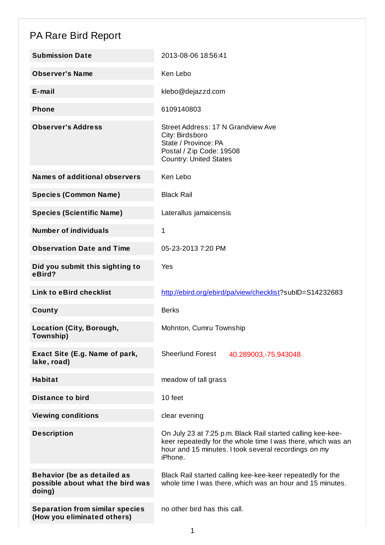## PA Rare Bird Report

| <b>Submission Date</b>                                                           | 2013-08-06 18:56:41                                                                                                                                                                            |
|----------------------------------------------------------------------------------|------------------------------------------------------------------------------------------------------------------------------------------------------------------------------------------------|
| <b>Observer's Name</b>                                                           | Ken Lebo                                                                                                                                                                                       |
| $E$ -mail                                                                        | klebo@dejazzd.com                                                                                                                                                                              |
| <b>Phone</b>                                                                     | 6109140803                                                                                                                                                                                     |
| <b>Observer's Address</b>                                                        | Street Address: 17 N Grandview Ave<br>City: Birdsboro<br>State / Province: PA<br>Postal / Zip Code: 19508<br><b>Country: United States</b>                                                     |
| <b>Names of additional observers</b>                                             | Ken Lebo                                                                                                                                                                                       |
| <b>Species (Common Name)</b>                                                     | <b>Black Rail</b>                                                                                                                                                                              |
| <b>Species (Scientific Name)</b>                                                 | Laterallus jamaicensis                                                                                                                                                                         |
| <b>Number of individuals</b>                                                     | 1                                                                                                                                                                                              |
| <b>Observation Date and Time</b>                                                 | 05-23-2013 7:20 PM                                                                                                                                                                             |
| Did you submit this sighting to<br>eBird?                                        | Yes                                                                                                                                                                                            |
| <b>Link to eBird checklist</b>                                                   | http://ebird.org/ebird/pa/view/checklist?subID=S14232683                                                                                                                                       |
| County                                                                           | <b>Berks</b>                                                                                                                                                                                   |
| <b>Location (City, Borough,</b><br>Township)                                     | Mohnton, Cumru Township                                                                                                                                                                        |
| Exact Site (E.g. Name of park,<br>lake, road)                                    | <b>Sheerlund Forest</b><br>40.289003, - 75.943048                                                                                                                                              |
| <b>Habitat</b>                                                                   | meadow of tall grass                                                                                                                                                                           |
| <b>Distance to bird</b>                                                          | 10 feet                                                                                                                                                                                        |
| <b>Viewing conditions</b>                                                        | clear evening                                                                                                                                                                                  |
| <b>Description</b>                                                               | On July 23 at 7:25 p.m. Black Rail started calling kee-kee-<br>keer repeatedly for the whole time I was there, which was an<br>hour and 15 minutes. I took several recordings on my<br>iPhone. |
| <b>Behavior (be as detailed as</b><br>possible about what the bird was<br>doing) | Black Rail started calling kee-kee-keer repeatedly for the<br>whole time I was there, which was an hour and 15 minutes.                                                                        |
| <b>Separation from similar species</b><br>(How you eliminated others)            | no other bird has this call.                                                                                                                                                                   |